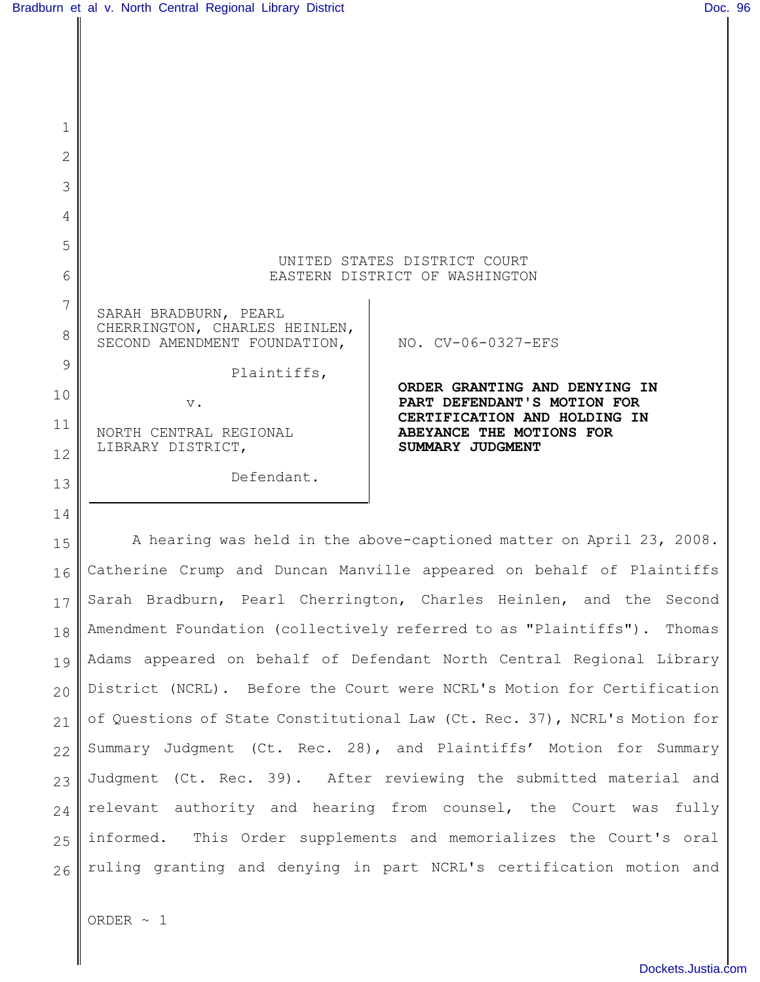| 1  |                                                               |                                                                |
|----|---------------------------------------------------------------|----------------------------------------------------------------|
| 2  |                                                               |                                                                |
| 3  |                                                               |                                                                |
| 4  |                                                               |                                                                |
| 5  |                                                               |                                                                |
| 6  |                                                               | UNITED STATES DISTRICT COURT<br>EASTERN DISTRICT OF WASHINGTON |
| 7  | SARAH BRADBURN, PEARL                                         |                                                                |
| 8  | CHERRINGTON, CHARLES HEINLEN,<br>SECOND AMENDMENT FOUNDATION, | NO. CV-06-0327-EFS                                             |
| 9  | Plaintiffs,                                                   |                                                                |
| 10 | $V$ .                                                         | ORDER GRANTING AND DENYING IN<br>PART DEFENDANT'S MOTION FOR   |
| 11 | NORTH CENTRAL REGIONAL                                        | CERTIFICATION AND HOLDING IN<br>ABEYANCE THE MOTIONS FOR       |
| 12 | LIBRARY DISTRICT,                                             | SUMMARY JUDGMENT                                               |
| 13 | Defendant.                                                    |                                                                |
|    |                                                               |                                                                |

15 16 17 18 19 20 21 22 23 24 25 26 A hearing was held in the above-captioned matter on April 23, 2008. Catherine Crump and Duncan Manville appeared on behalf of Plaintiffs Sarah Bradburn, Pearl Cherrington, Charles Heinlen, and the Second Amendment Foundation (collectively referred to as "Plaintiffs"). Thomas Adams appeared on behalf of Defendant North Central Regional Library District (NCRL). Before the Court were NCRL's Motion for Certification of Questions of State Constitutional Law (Ct. Rec. 37), NCRL's Motion for Summary Judgment (Ct. Rec. 28), and Plaintiffs' Motion for Summary Judgment (Ct. Rec. 39). After reviewing the submitted material and relevant authority and hearing from counsel, the Court was fully informed. This Order supplements and memorializes the Court's oral ruling granting and denying in part NCRL's certification motion and

ORDER  $\sim$  1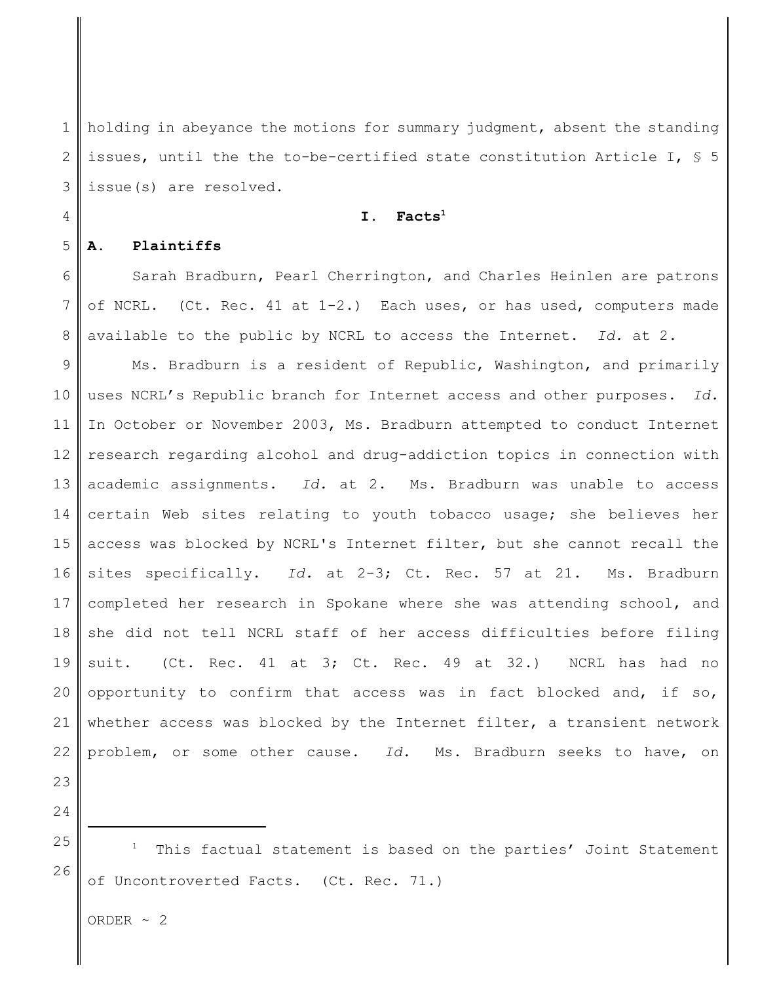1 2 3 holding in abeyance the motions for summary judgment, absent the standing issues, until the the to-be-certified state constitution Article I, § 5 issue(s) are resolved.

## **I. Facts<sup>1</sup>**

## **A. Plaintiffs**

4

5

6 7 8 Sarah Bradburn, Pearl Cherrington, and Charles Heinlen are patrons of NCRL. (Ct. Rec. 41 at 1-2.) Each uses, or has used, computers made available to the public by NCRL to access the Internet. *Id.* at 2.

9 10 11 12 13 14 15 16 17 18 19 20 21 22 Ms. Bradburn is a resident of Republic, Washington, and primarily uses NCRL's Republic branch for Internet access and other purposes. *Id.* In October or November 2003, Ms. Bradburn attempted to conduct Internet research regarding alcohol and drug-addiction topics in connection with academic assignments. *Id.* at 2. Ms. Bradburn was unable to access certain Web sites relating to youth tobacco usage; she believes her access was blocked by NCRL's Internet filter, but she cannot recall the sites specifically. *Id.* at 2-3; Ct. Rec. 57 at 21. Ms. Bradburn completed her research in Spokane where she was attending school, and she did not tell NCRL staff of her access difficulties before filing suit. (Ct. Rec. 41 at 3; Ct. Rec. 49 at 32.) NCRL has had no opportunity to confirm that access was in fact blocked and, if so, whether access was blocked by the Internet filter, a transient network problem, or some other cause. *Id.* Ms. Bradburn seeks to have, on

23 24

25

26  $1$  This factual statement is based on the parties' Joint Statement of Uncontroverted Facts. (Ct. Rec. 71.)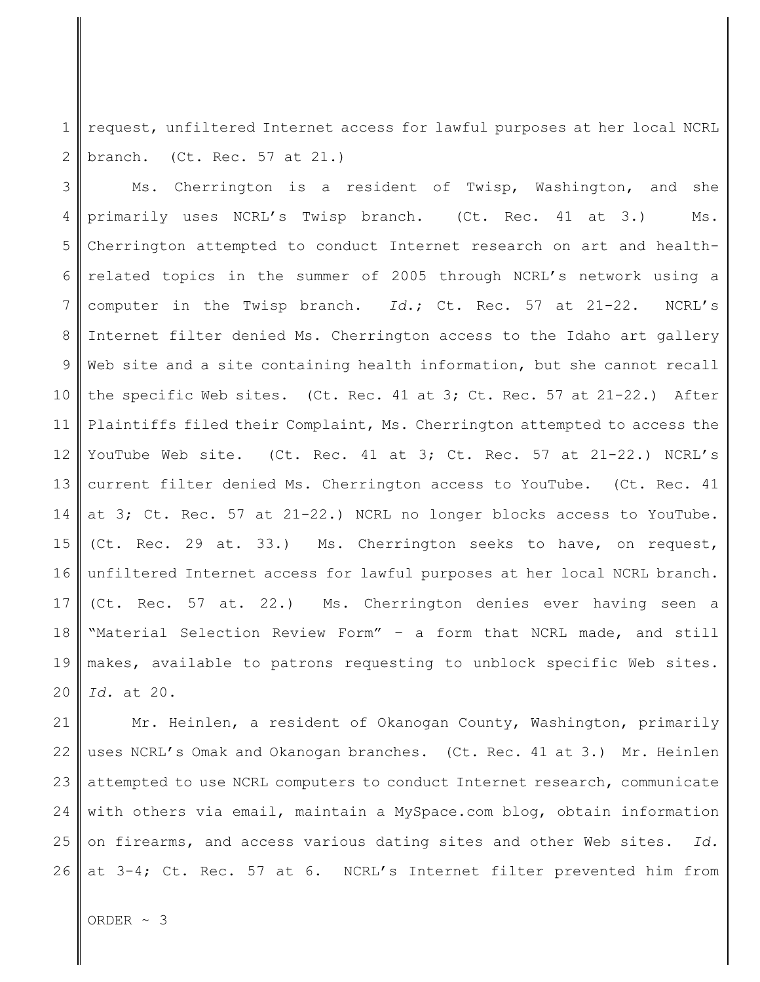1 2 request, unfiltered Internet access for lawful purposes at her local NCRL branch. (Ct. Rec. 57 at 21.)

3 4 5 6 7 8 9 10 11 12 13 14 15 16 17 18 19 20 Ms. Cherrington is a resident of Twisp, Washington, and she primarily uses NCRL's Twisp branch. (Ct. Rec. 41 at 3.) Ms. Cherrington attempted to conduct Internet research on art and healthrelated topics in the summer of 2005 through NCRL's network using a computer in the Twisp branch. *Id*.; Ct. Rec. 57 at 21-22. NCRL's Internet filter denied Ms. Cherrington access to the Idaho art gallery Web site and a site containing health information, but she cannot recall the specific Web sites. (Ct. Rec. 41 at 3; Ct. Rec. 57 at 21-22.) After Plaintiffs filed their Complaint, Ms. Cherrington attempted to access the YouTube Web site. (Ct. Rec. 41 at 3; Ct. Rec. 57 at 21-22.) NCRL's current filter denied Ms. Cherrington access to YouTube. (Ct. Rec. 41 at 3; Ct. Rec. 57 at 21-22.) NCRL no longer blocks access to YouTube. (Ct. Rec. 29 at. 33.) Ms. Cherrington seeks to have, on request, unfiltered Internet access for lawful purposes at her local NCRL branch. (Ct. Rec. 57 at. 22.) Ms. Cherrington denies ever having seen a "Material Selection Review Form" – a form that NCRL made, and still makes, available to patrons requesting to unblock specific Web sites. *Id.* at 20.

21 22 23 24 25 26 Mr. Heinlen, a resident of Okanogan County, Washington, primarily uses NCRL's Omak and Okanogan branches. (Ct. Rec. 41 at 3.) Mr. Heinlen attempted to use NCRL computers to conduct Internet research, communicate with others via email, maintain a MySpace.com blog, obtain information on firearms, and access various dating sites and other Web sites. *Id.* at 3-4; Ct. Rec. 57 at 6. NCRL's Internet filter prevented him from

ORDER ~ 3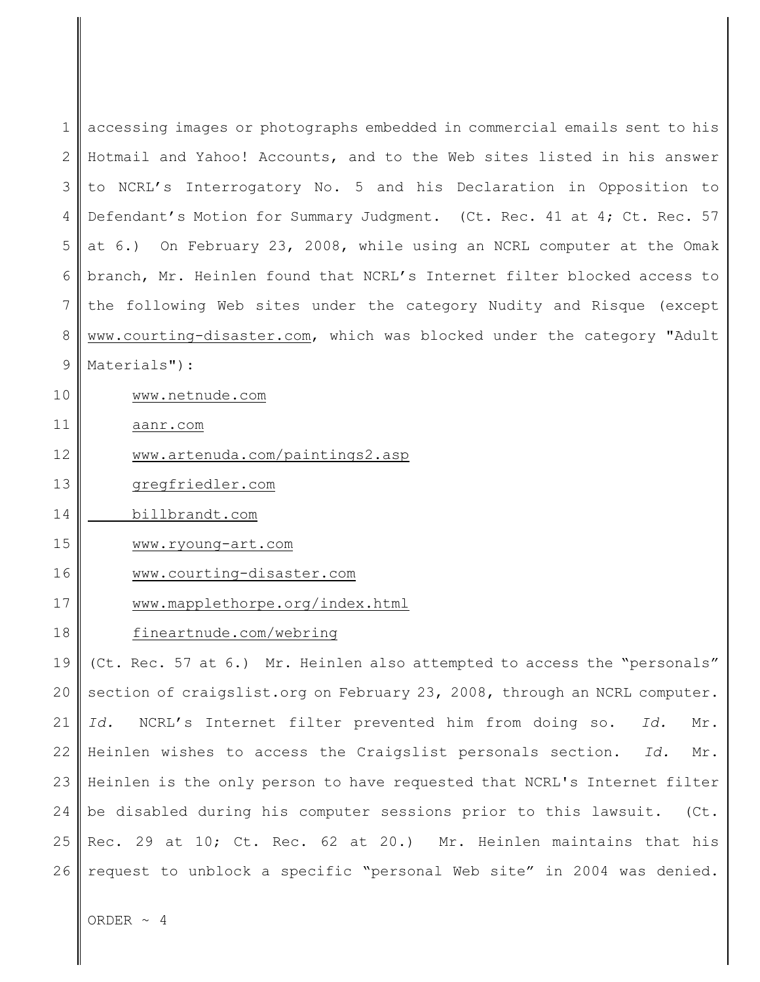| $\mathbf 1$    | accessing images or photographs embedded in commercial emails sent to his |
|----------------|---------------------------------------------------------------------------|
| $\overline{2}$ | Hotmail and Yahoo! Accounts, and to the Web sites listed in his answer    |
| 3              | to NCRL's Interrogatory No. 5 and his Declaration in Opposition to        |
| 4              | Defendant's Motion for Summary Judgment. (Ct. Rec. 41 at 4; Ct. Rec. 57   |
| 5              | at 6.) On February 23, 2008, while using an NCRL computer at the Omak     |
| 6              | branch, Mr. Heinlen found that NCRL's Internet filter blocked access to   |
| 7              | the following Web sites under the category Nudity and Risque (except      |
| 8              | www.courting-disaster.com, which was blocked under the category "Adult    |
| 9              | Materials"):                                                              |
| 10             | www.netnude.com                                                           |
| 11             | aanr.com                                                                  |
| 12             | www.artenuda.com/paintings2.asp                                           |
| 13             | gregfriedler.com                                                          |
| 14             | billbrandt.com                                                            |
| 15             | www.ryoung-art.com                                                        |
| 16             | www.courting-disaster.com                                                 |
| 17             | www.mapplethorpe.org/index.html                                           |
| 18             | fineartnude.com/webring                                                   |
| 19             | (Ct. Rec. 57 at 6.) Mr. Heinlen also attempted to access the "personals"  |
| 20             | section of craigslist.org on February 23, 2008, through an NCRL computer. |
| 21             | NCRL's Internet filter prevented him from doing so.<br>Id.<br>Id.<br>Mr.  |
| 22             | Heinlen wishes to access the Craigslist personals section.<br>Id.<br>Mr.  |
| 23             | Heinlen is the only person to have requested that NCRL's Internet filter  |
| 24             | be disabled during his computer sessions prior to this lawsuit. (Ct.      |
| 25             | Rec. 29 at 10; Ct. Rec. 62 at 20.) Mr. Heinlen maintains that his         |
| 26             | request to unblock a specific "personal Web site" in 2004 was denied.     |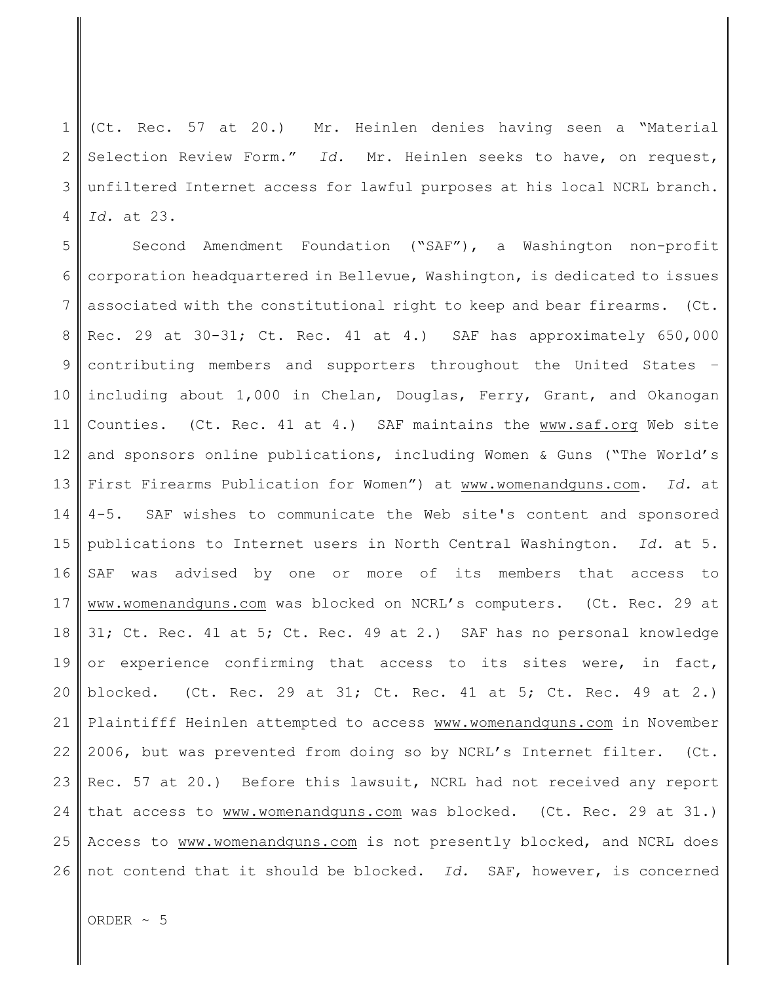1 2 3 4 (Ct. Rec. 57 at 20.) Mr. Heinlen denies having seen a "Material Selection Review Form." *Id.* Mr. Heinlen seeks to have, on request, unfiltered Internet access for lawful purposes at his local NCRL branch. *Id.* at 23.

5 6 7 8 9 10 11 12 13 14 15 16 17 18 19 20 21 22 23 24 25 26 Second Amendment Foundation ("SAF"), a Washington non-profit corporation headquartered in Bellevue, Washington, is dedicated to issues associated with the constitutional right to keep and bear firearms. (Ct. Rec. 29 at 30-31; Ct. Rec. 41 at 4.) SAF has approximately 650,000 contributing members and supporters throughout the United States – including about 1,000 in Chelan, Douglas, Ferry, Grant, and Okanogan Counties. (Ct. Rec. 41 at 4.) SAF maintains the www.saf.org Web site and sponsors online publications, including Women & Guns ("The World's First Firearms Publication for Women") at www.womenandguns.com. *Id.* at 4-5. SAF wishes to communicate the Web site's content and sponsored publications to Internet users in North Central Washington. *Id.* at 5. SAF was advised by one or more of its members that access to www.womenandguns.com was blocked on NCRL's computers. (Ct. Rec. 29 at 31; Ct. Rec. 41 at 5; Ct. Rec. 49 at 2.) SAF has no personal knowledge or experience confirming that access to its sites were, in fact, blocked. (Ct. Rec. 29 at 31; Ct. Rec. 41 at 5; Ct. Rec. 49 at 2.) Plaintifff Heinlen attempted to access www.womenandguns.com in November 2006, but was prevented from doing so by NCRL's Internet filter. (Ct. Rec. 57 at 20.) Before this lawsuit, NCRL had not received any report that access to www.womenandguns.com was blocked. (Ct. Rec. 29 at 31.) Access to www.womenandguns.com is not presently blocked, and NCRL does not contend that it should be blocked. *Id.* SAF, however, is concerned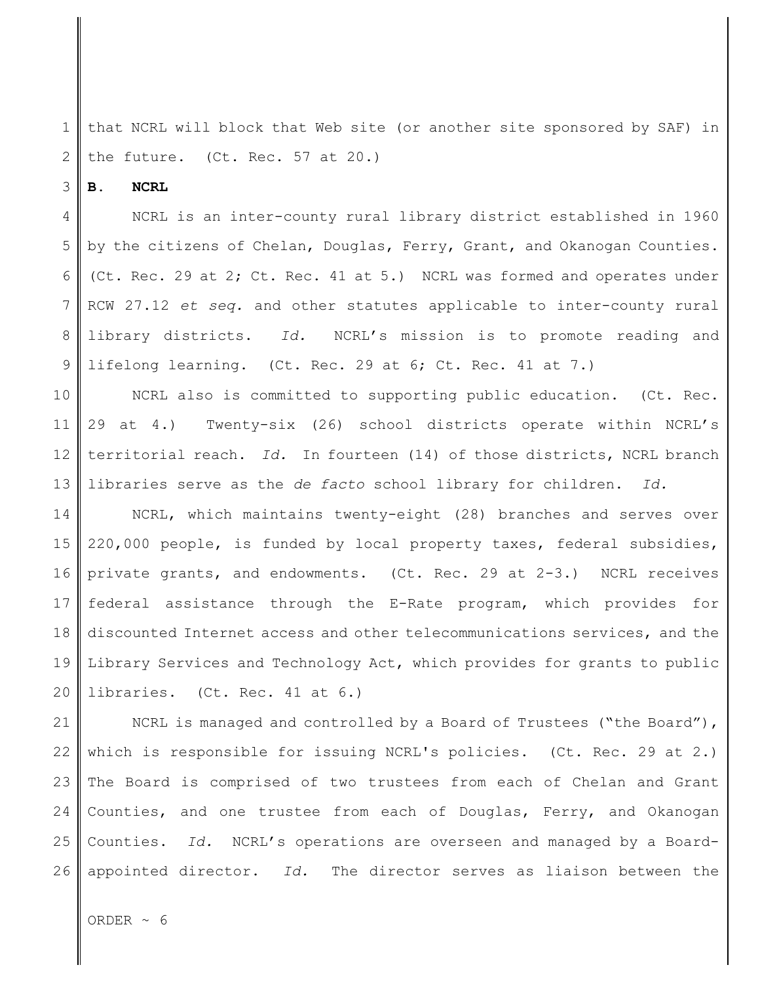1 2 that NCRL will block that Web site (or another site sponsored by SAF) in the future. (Ct. Rec. 57 at 20.)

3 **B. NCRL**

4 5 6 7 8 9 NCRL is an inter-county rural library district established in 1960 by the citizens of Chelan, Douglas, Ferry, Grant, and Okanogan Counties. (Ct. Rec. 29 at 2; Ct. Rec. 41 at 5.) NCRL was formed and operates under RCW 27.12 *et seq.* and other statutes applicable to inter-county rural library districts. *Id.* NCRL's mission is to promote reading and lifelong learning. (Ct. Rec. 29 at 6; Ct. Rec. 41 at 7.)

10 11 12 13 NCRL also is committed to supporting public education. (Ct. Rec. 29 at 4.) Twenty-six (26) school districts operate within NCRL's territorial reach. *Id.* In fourteen (14) of those districts, NCRL branch libraries serve as the *de facto* school library for children. *Id.* 

14 15 16 17 18 19 20 NCRL, which maintains twenty-eight (28) branches and serves over 220,000 people, is funded by local property taxes, federal subsidies, private grants, and endowments. (Ct. Rec. 29 at 2-3.) NCRL receives federal assistance through the E-Rate program, which provides for discounted Internet access and other telecommunications services, and the Library Services and Technology Act, which provides for grants to public libraries. (Ct. Rec. 41 at 6.)

21 22 23 24 25 26 NCRL is managed and controlled by a Board of Trustees ("the Board"), which is responsible for issuing NCRL's policies. (Ct. Rec. 29 at 2.) The Board is comprised of two trustees from each of Chelan and Grant Counties, and one trustee from each of Douglas, Ferry, and Okanogan Counties. *Id.* NCRL's operations are overseen and managed by a Boardappointed director. *Id.* The director serves as liaison between the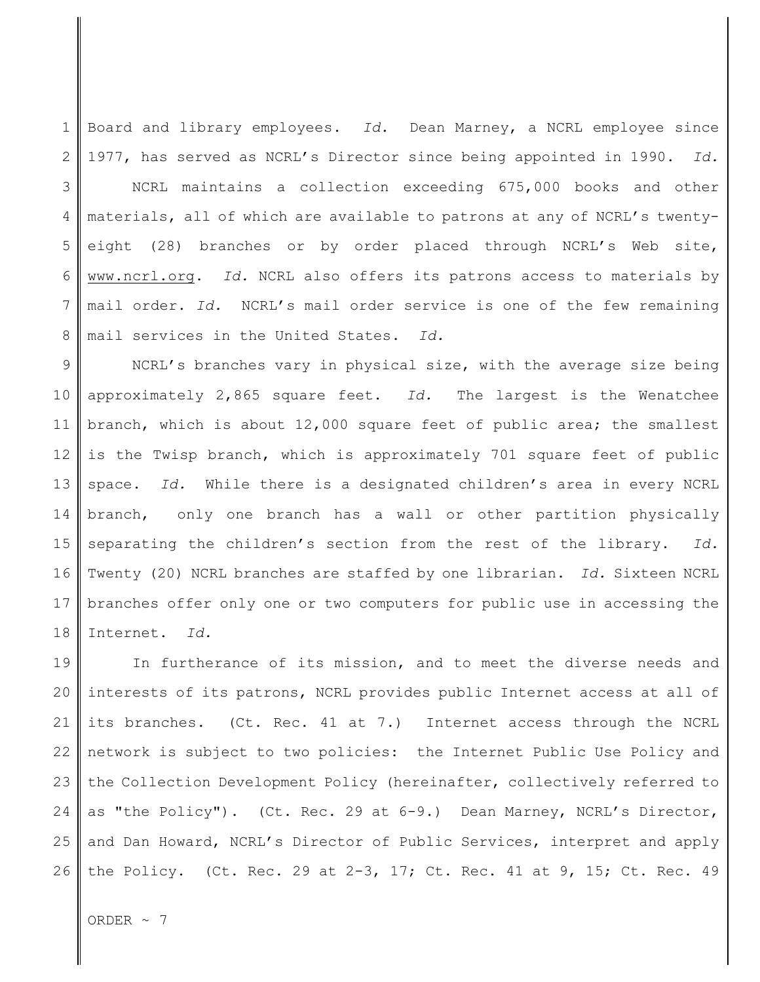1 2 Board and library employees. *Id.* Dean Marney, a NCRL employee since 1977, has served as NCRL's Director since being appointed in 1990. *Id.*

3 4 5 6 7 8 NCRL maintains a collection exceeding 675,000 books and other materials, all of which are available to patrons at any of NCRL's twentyeight (28) branches or by order placed through NCRL's Web site, www.ncrl.org. *Id.* NCRL also offers its patrons access to materials by mail order. *Id.* NCRL's mail order service is one of the few remaining mail services in the United States. *Id.*

9 10 11 12 13 14 15 16 17 18 NCRL's branches vary in physical size, with the average size being approximately 2,865 square feet. *Id.* The largest is the Wenatchee branch, which is about 12,000 square feet of public area; the smallest is the Twisp branch, which is approximately 701 square feet of public space. *Id.* While there is a designated children's area in every NCRL branch, only one branch has a wall or other partition physically separating the children's section from the rest of the library. *Id.* Twenty (20) NCRL branches are staffed by one librarian. *Id.* Sixteen NCRL branches offer only one or two computers for public use in accessing the Internet. *Id.*

19 20 21 22 23 24 25 26 In furtherance of its mission, and to meet the diverse needs and interests of its patrons, NCRL provides public Internet access at all of its branches. (Ct. Rec. 41 at 7.) Internet access through the NCRL network is subject to two policies: the Internet Public Use Policy and the Collection Development Policy (hereinafter, collectively referred to as "the Policy"). (Ct. Rec. 29 at 6-9.) Dean Marney, NCRL's Director, and Dan Howard, NCRL's Director of Public Services, interpret and apply the Policy. (Ct. Rec. 29 at 2-3, 17; Ct. Rec. 41 at 9, 15; Ct. Rec. 49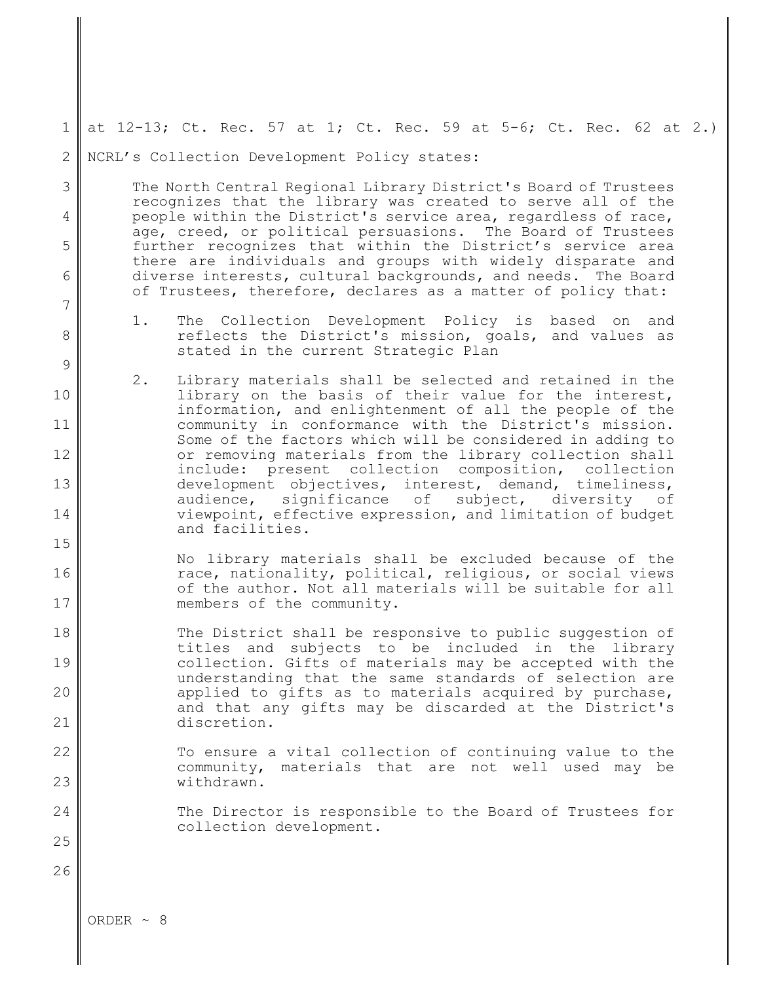1 at 12-13; Ct. Rec. 57 at 1; Ct. Rec. 59 at 5-6; Ct. Rec. 62 at 2.)

2 NCRL's Collection Development Policy states:

> The North Central Regional Library District's Board of Trustees recognizes that the library was created to serve all of the people within the District's service area, regardless of race, age, creed, or political persuasions. The Board of Trustees further recognizes that within the District's service area there are individuals and groups with widely disparate and diverse interests, cultural backgrounds, and needs. The Board of Trustees, therefore, declares as a matter of policy that:

- 1. The Collection Development Policy is based on and reflects the District's mission, goals, and values as stated in the current Strategic Plan
- 10 11 12 13 14 2. Library materials shall be selected and retained in the library on the basis of their value for the interest, information, and enlightenment of all the people of the community in conformance with the District's mission. Some of the factors which will be considered in adding to or removing materials from the library collection shall include: present collection composition, collection development objectives, interest, demand, timeliness, audience, significance of subject, diversity of viewpoint, effective expression, and limitation of budget and facilities.
- 16 17 No library materials shall be excluded because of the race, nationality, political, religious, or social views of the author. Not all materials will be suitable for all members of the community.
- 18 19 20 21 The District shall be responsive to public suggestion of titles and subjects to be included in the library collection. Gifts of materials may be accepted with the understanding that the same standards of selection are applied to gifts as to materials acquired by purchase, and that any gifts may be discarded at the District's discretion.
- 22 23 To ensure a vital collection of continuing value to the community, materials that are not well used may be withdrawn.
	- The Director is responsible to the Board of Trustees for collection development.

ORDER  $\sim$  8

3

4

5

6

7

8

9

15

24

25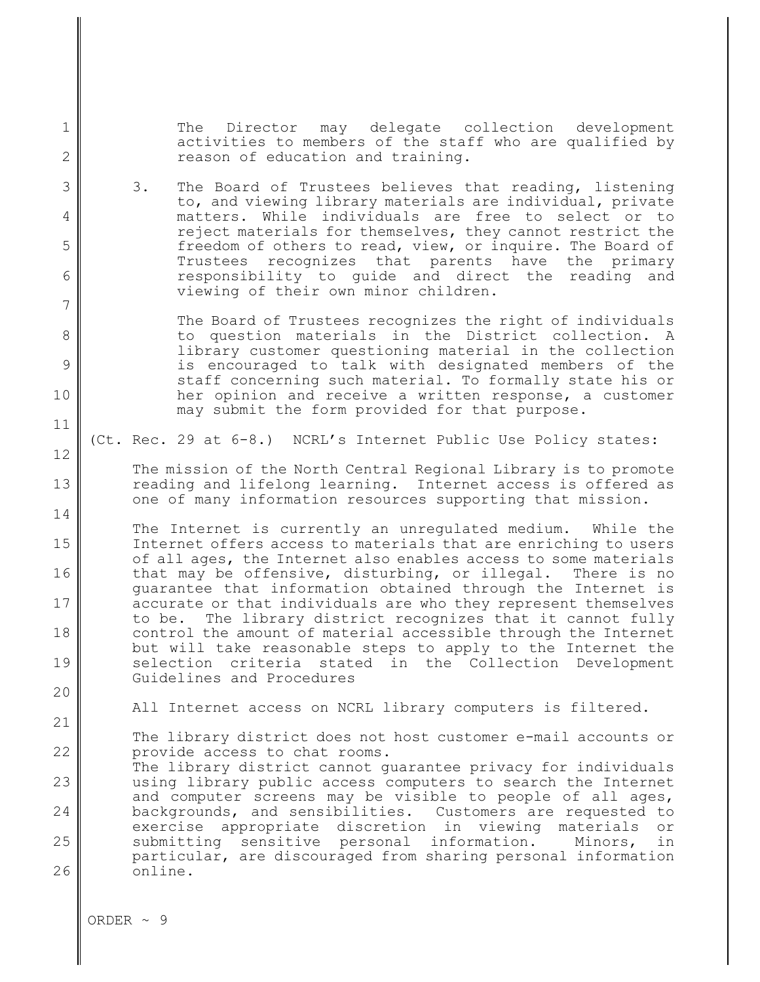The Director may delegate collection development activities to members of the staff who are qualified by reason of education and training.

3. The Board of Trustees believes that reading, listening to, and viewing library materials are individual, private matters. While individuals are free to select or to reject materials for themselves, they cannot restrict the freedom of others to read, view, or inquire. The Board of Trustees recognizes that parents have the primary responsibility to guide and direct the reading and viewing of their own minor children.

> The Board of Trustees recognizes the right of individuals to question materials in the District collection. A library customer questioning material in the collection is encouraged to talk with designated members of the staff concerning such material. To formally state his or her opinion and receive a written response, a customer may submit the form provided for that purpose.

(Ct. Rec. 29 at 6-8.) NCRL's Internet Public Use Policy states:

The mission of the North Central Regional Library is to promote reading and lifelong learning. Internet access is offered as one of many information resources supporting that mission.

The Internet is currently an unregulated medium. While the Internet offers access to materials that are enriching to users of all ages, the Internet also enables access to some materials that may be offensive, disturbing, or illegal. There is no guarantee that information obtained through the Internet is accurate or that individuals are who they represent themselves to be. The library district recognizes that it cannot fully control the amount of material accessible through the Internet but will take reasonable steps to apply to the Internet the selection criteria stated in the Collection Development Guidelines and Procedures

All Internet access on NCRL library computers is filtered.

22 The library district does not host customer e-mail accounts or provide access to chat rooms.

23 24 25 26 The library district cannot guarantee privacy for individuals using library public access computers to search the Internet and computer screens may be visible to people of all ages, backgrounds, and sensibilities. Customers are requested to exercise appropriate discretion in viewing materials or submitting sensitive personal information. Minors, in particular, are discouraged from sharing personal information online.

1

2

3

4

5

6

7

8

9

10

11

12

13

14

15

16

17

18

19

20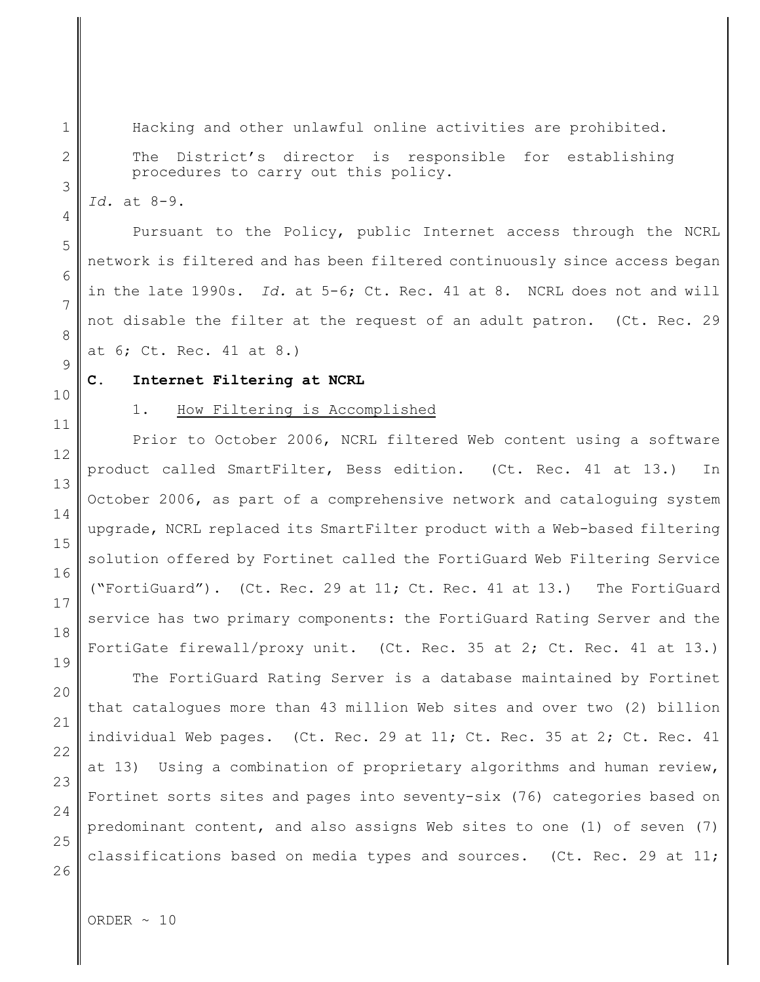Hacking and other unlawful online activities are prohibited. The District's director is responsible for establishing procedures to carry out this policy.

*Id.* at 8-9.

1

2

3

4

5

6

7

8

9

10

11

12

13

14

15

16

17

18

19

20

21

22

23

24

25

26

Pursuant to the Policy, public Internet access through the NCRL network is filtered and has been filtered continuously since access began in the late 1990s. *Id.* at 5-6; Ct. Rec. 41 at 8. NCRL does not and will not disable the filter at the request of an adult patron. (Ct. Rec. 29 at 6; Ct. Rec. 41 at 8.)

### **C. Internet Filtering at NCRL**

## 1. How Filtering is Accomplished

Prior to October 2006, NCRL filtered Web content using a software product called SmartFilter, Bess edition. (Ct. Rec. 41 at 13.) In October 2006, as part of a comprehensive network and cataloguing system upgrade, NCRL replaced its SmartFilter product with a Web-based filtering solution offered by Fortinet called the FortiGuard Web Filtering Service ("FortiGuard"). (Ct. Rec. 29 at 11; Ct. Rec. 41 at 13.) The FortiGuard service has two primary components: the FortiGuard Rating Server and the FortiGate firewall/proxy unit. (Ct. Rec. 35 at 2; Ct. Rec. 41 at 13.)

The FortiGuard Rating Server is a database maintained by Fortinet that catalogues more than 43 million Web sites and over two (2) billion individual Web pages. (Ct. Rec. 29 at 11; Ct. Rec. 35 at 2; Ct. Rec. 41 at 13) Using a combination of proprietary algorithms and human review, Fortinet sorts sites and pages into seventy-six (76) categories based on predominant content, and also assigns Web sites to one (1) of seven (7) classifications based on media types and sources. (Ct. Rec. 29 at 11;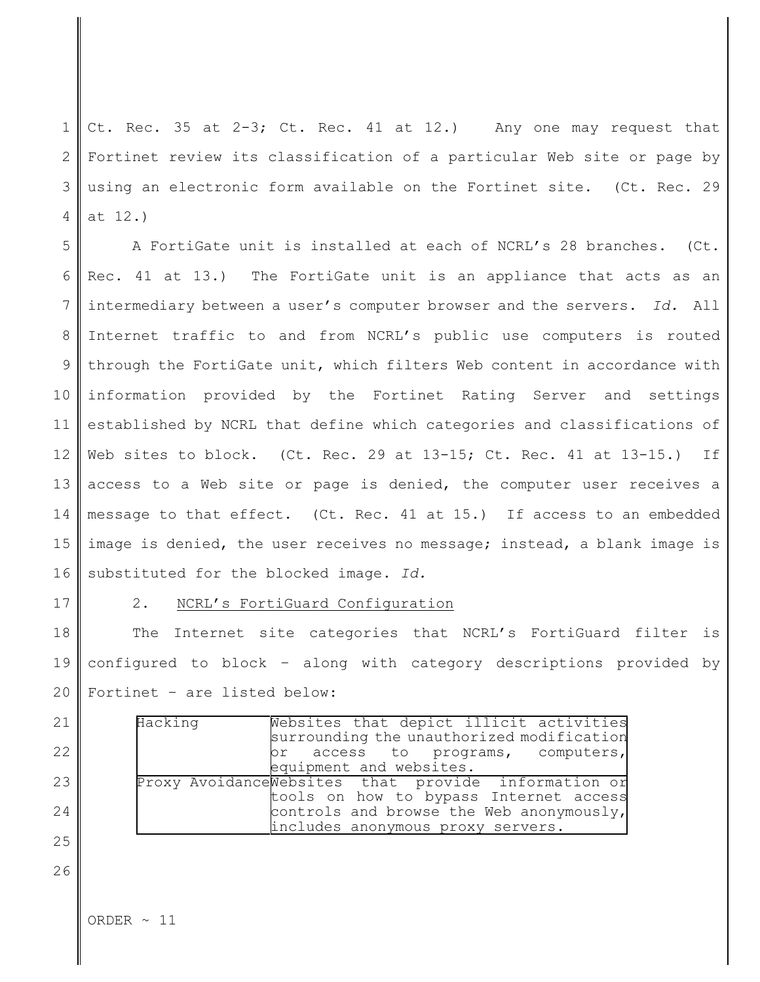1 2 3 4 Ct. Rec. 35 at 2-3; Ct. Rec. 41 at 12.) Any one may request that Fortinet review its classification of a particular Web site or page by using an electronic form available on the Fortinet site. (Ct. Rec. 29 at 12.)

5 6 7 8 9 10 11 12 13 14 15 16 A FortiGate unit is installed at each of NCRL's 28 branches. (Ct. Rec. 41 at 13.) The FortiGate unit is an appliance that acts as an intermediary between a user's computer browser and the servers. *Id.* All Internet traffic to and from NCRL's public use computers is routed through the FortiGate unit, which filters Web content in accordance with information provided by the Fortinet Rating Server and settings established by NCRL that define which categories and classifications of Web sites to block. (Ct. Rec. 29 at  $13-15$ ; Ct. Rec. 41 at  $13-15$ .) If access to a Web site or page is denied, the computer user receives a message to that effect. (Ct. Rec. 41 at 15.) If access to an embedded image is denied, the user receives no message; instead, a blank image is substituted for the blocked image. *Id.*

17

21

22

23

24

25

26

2. NCRL's FortiGuard Configuration

18 19 20 The Internet site categories that NCRL's FortiGuard filter is configured to block – along with category descriptions provided by Fortinet – are listed below:

| Hacking |                                                     |                         |  | Websites that depict illicit activities   |  |
|---------|-----------------------------------------------------|-------------------------|--|-------------------------------------------|--|
|         |                                                     |                         |  | surrounding the unauthorized modification |  |
|         |                                                     |                         |  | or access to programs, computers,         |  |
|         |                                                     | equipment and websites. |  |                                           |  |
|         | Proxy AvoidanceWebsites that provide information or |                         |  |                                           |  |
|         |                                                     |                         |  | tools on how to bypass Internet access    |  |
|         |                                                     |                         |  | controls and browse the Web anonymously,  |  |
|         |                                                     |                         |  | includes anonymous proxy servers.         |  |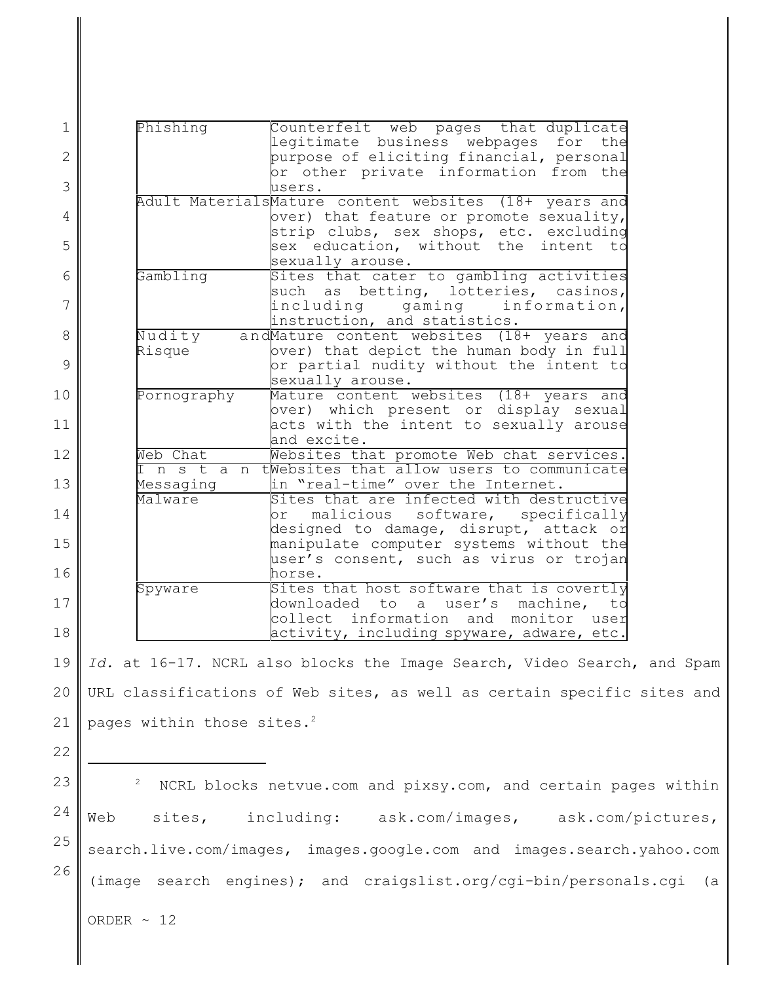| $\mathbf 1$    | Phishing<br>Counterfeit web pages that duplicate<br>legitimate business webpages for the                |    |
|----------------|---------------------------------------------------------------------------------------------------------|----|
| $\overline{2}$ | purpose of eliciting financial, personal                                                                |    |
| 3              | or other private information from the<br>users.                                                         |    |
| $\overline{4}$ | Adult MaterialsMature content websites (18+ years and<br>over) that feature or promote sexuality,       |    |
| 5              | strip clubs, sex shops, etc. excluding<br>sex education, without the intent to<br>sexually arouse.      |    |
| 6              | Sites that cater to gambling activities<br>Gambling<br>such as betting, lotteries, casinos,             |    |
| 7              | including gaming information,<br>instruction, and statistics.                                           |    |
| 8              | Nudity<br>andMature content websites (18+ years and                                                     |    |
| 9              | over) that depict the human body in full<br>Risque<br>or partial nudity without the intent to           |    |
| 10             | sexually arouse.<br>Pornography<br>Mature content websites (18+ years and                               |    |
| 11             | over) which present or display sexual<br>acts with the intent to sexually arouse<br>and excite.         |    |
| 12             | Web Chat<br>Websites that promote Web chat services.                                                    |    |
| 13             | I n s t a n tWebsites that allow users to communicate<br>in "real-time" over the Internet.<br>Messaging |    |
| 14             | Sites that are infected with destructive<br>Malware<br>malicious software, specifically<br>or           |    |
| 15             | designed to damage, disrupt, attack or<br>manipulate computer systems without the                       |    |
| 16             | user's consent, such as virus or trojan<br>horse.                                                       |    |
| 17             | Sites that host software that is covertly<br>Spyware<br>downloaded to a user's machine,                 | to |
| 18             | collect information and monitor user<br>activity, including spyware, adware, etc.                       |    |

19 20 21 *Id.* at 16-17. NCRL also blocks the Image Search, Video Search, and Spam URL classifications of Web sites, as well as certain specific sites and pages within those sites.<sup>2</sup>

22

23

24 25

26

 NCRL blocks netvue.com and pixsy.com, and certain pages within <sup>2</sup> Web sites, including: ask.com/images, ask.com/pictures, search.live.com/images, images.google.com and images.search.yahoo.com (image search engines); and craigslist.org/cgi-bin/personals.cgi (a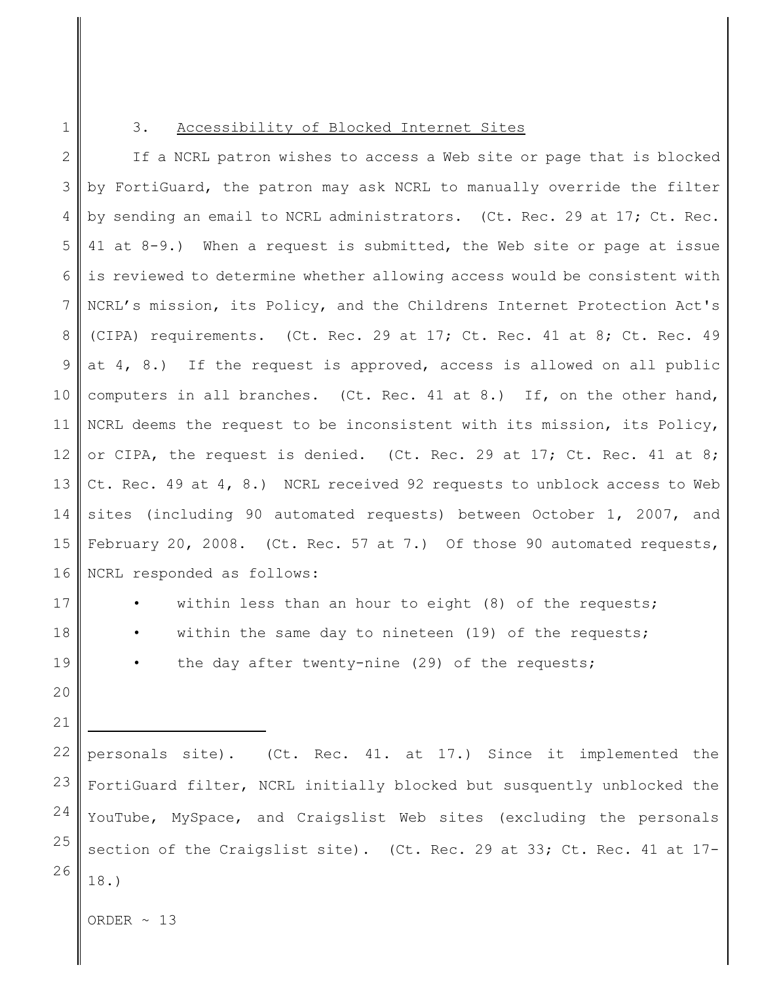#### 3. Accessibility of Blocked Internet Sites

2 3 4 5 6 7 8 9 10 11 12 13 14 15 16 If a NCRL patron wishes to access a Web site or page that is blocked by FortiGuard, the patron may ask NCRL to manually override the filter by sending an email to NCRL administrators. (Ct. Rec. 29 at 17; Ct. Rec. 41 at 8-9.) When a request is submitted, the Web site or page at issue is reviewed to determine whether allowing access would be consistent with NCRL's mission, its Policy, and the Childrens Internet Protection Act's (CIPA) requirements. (Ct. Rec. 29 at 17; Ct. Rec. 41 at 8; Ct. Rec. 49 at 4, 8.) If the request is approved, access is allowed on all public computers in all branches. (Ct. Rec. 41 at 8.) If, on the other hand, NCRL deems the request to be inconsistent with its mission, its Policy, or CIPA, the request is denied. (Ct. Rec. 29 at 17; Ct. Rec. 41 at 8; Ct. Rec. 49 at 4, 8.) NCRL received 92 requests to unblock access to Web sites (including 90 automated requests) between October 1, 2007, and February 20, 2008. (Ct. Rec. 57 at 7.) Of those 90 automated requests, NCRL responded as follows:

within less than an hour to eight  $(8)$  of the requests; within the same day to nineteen (19) of the requests;

the day after twenty-nine  $(29)$  of the requests;

23 24 25 26 personals site). (Ct. Rec. 41. at 17.) Since it implemented the FortiGuard filter, NCRL initially blocked but susquently unblocked the YouTube, MySpace, and Craigslist Web sites (excluding the personals section of the Craigslist site). (Ct. Rec. 29 at 33; Ct. Rec. 41 at 17- 18.)

ORDER  $\sim$  13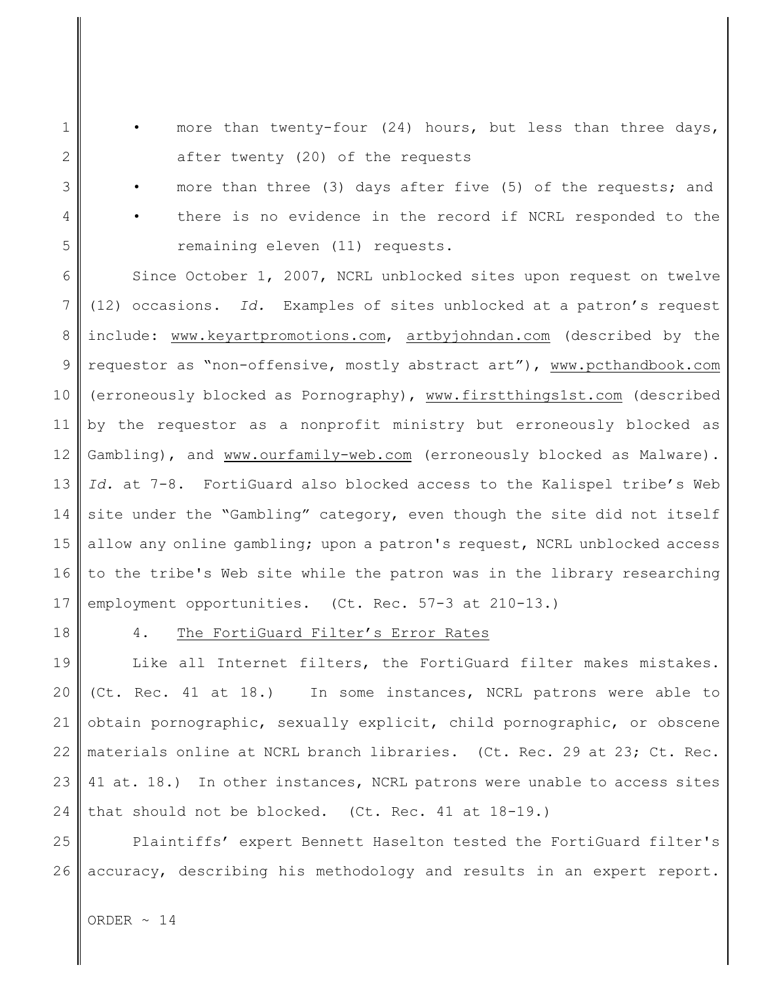- more than twenty-four (24) hours, but less than three days, after twenty (20) of the requests
- more than three (3) days after five (5) of the requests; and
- there is no evidence in the record if NCRL responded to the remaining eleven (11) requests.

6 7 8 9 10 11 12 13 14 15 16 17 Since October 1, 2007, NCRL unblocked sites upon request on twelve (12) occasions. *Id.* Examples of sites unblocked at a patron's request include: www.keyartpromotions.com, artbyjohndan.com (described by the requestor as "non-offensive, mostly abstract art"), www.pcthandbook.com (erroneously blocked as Pornography), www.firstthings1st.com (described by the requestor as a nonprofit ministry but erroneously blocked as Gambling), and www.ourfamily-web.com (erroneously blocked as Malware). *Id.* at 7-8. FortiGuard also blocked access to the Kalispel tribe's Web site under the "Gambling" category, even though the site did not itself allow any online gambling; upon a patron's request, NCRL unblocked access to the tribe's Web site while the patron was in the library researching employment opportunities. (Ct. Rec. 57-3 at 210-13.)

18

1

2

3

4

5

# 4. The FortiGuard Filter's Error Rates

19 20 21 22 23 24 Like all Internet filters, the FortiGuard filter makes mistakes. (Ct. Rec. 41 at 18.) In some instances, NCRL patrons were able to obtain pornographic, sexually explicit, child pornographic, or obscene materials online at NCRL branch libraries. (Ct. Rec. 29 at 23; Ct. Rec. 41 at. 18.) In other instances, NCRL patrons were unable to access sites that should not be blocked. (Ct. Rec. 41 at 18-19.)

25 26 Plaintiffs' expert Bennett Haselton tested the FortiGuard filter's accuracy, describing his methodology and results in an expert report.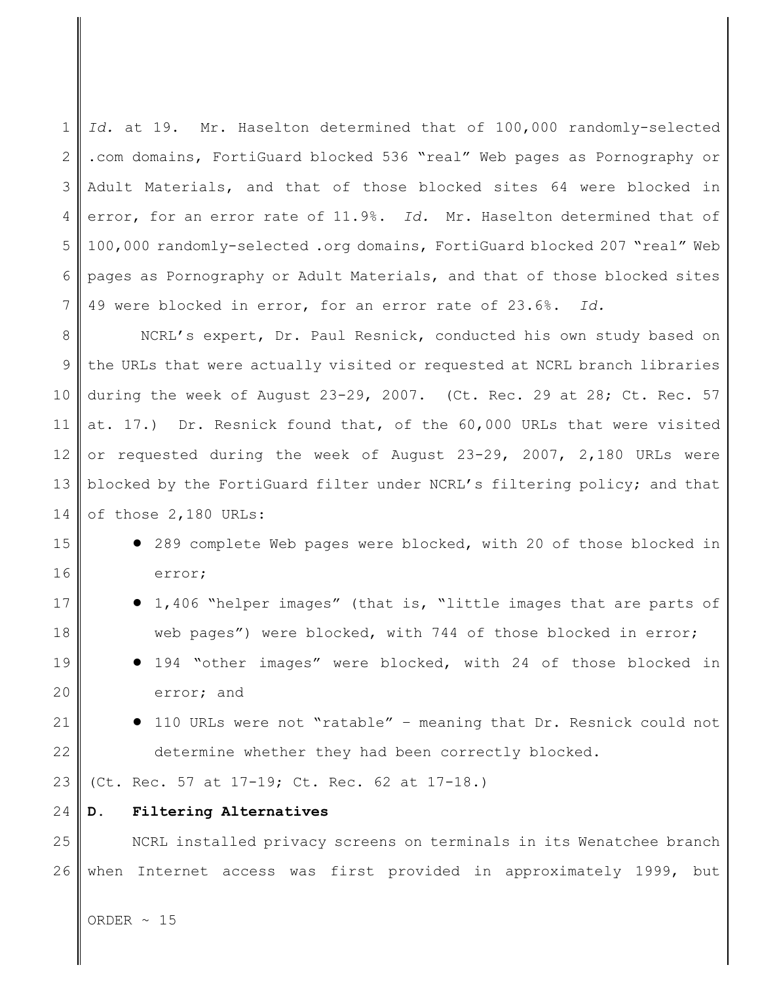1 2 3 4 5 6 7 *Id.* at 19. Mr. Haselton determined that of 100,000 randomly-selected .com domains, FortiGuard blocked 536 "real" Web pages as Pornography or Adult Materials, and that of those blocked sites 64 were blocked in error, for an error rate of 11.9%. *Id.* Mr. Haselton determined that of 100,000 randomly-selected .org domains, FortiGuard blocked 207 "real" Web pages as Pornography or Adult Materials, and that of those blocked sites 49 were blocked in error, for an error rate of 23.6%. *Id.*

8 9 10 11 12 13 14 NCRL's expert, Dr. Paul Resnick, conducted his own study based on the URLs that were actually visited or requested at NCRL branch libraries during the week of August 23-29, 2007. (Ct. Rec. 29 at 28; Ct. Rec. 57 at. 17.) Dr. Resnick found that, of the 60,000 URLs that were visited or requested during the week of August 23-29, 2007, 2,180 URLs were blocked by the FortiGuard filter under NCRL's filtering policy; and that of those 2,180 URLs:

- 289 complete Web pages were blocked, with 20 of those blocked in error;
- ! 1,406 "helper images" (that is, "little images that are parts of web pages") were blocked, with 744 of those blocked in error;
- ! 194 "other images" were blocked, with 24 of those blocked in error; and
	- ! 110 URLs were not "ratable" meaning that Dr. Resnick could not determine whether they had been correctly blocked.

23 (Ct. Rec. 57 at 17-19; Ct. Rec. 62 at 17-18.)

24

15

16

17

18

19

20

21

22

## **D. Filtering Alternatives**

25 26 NCRL installed privacy screens on terminals in its Wenatchee branch when Internet access was first provided in approximately 1999, but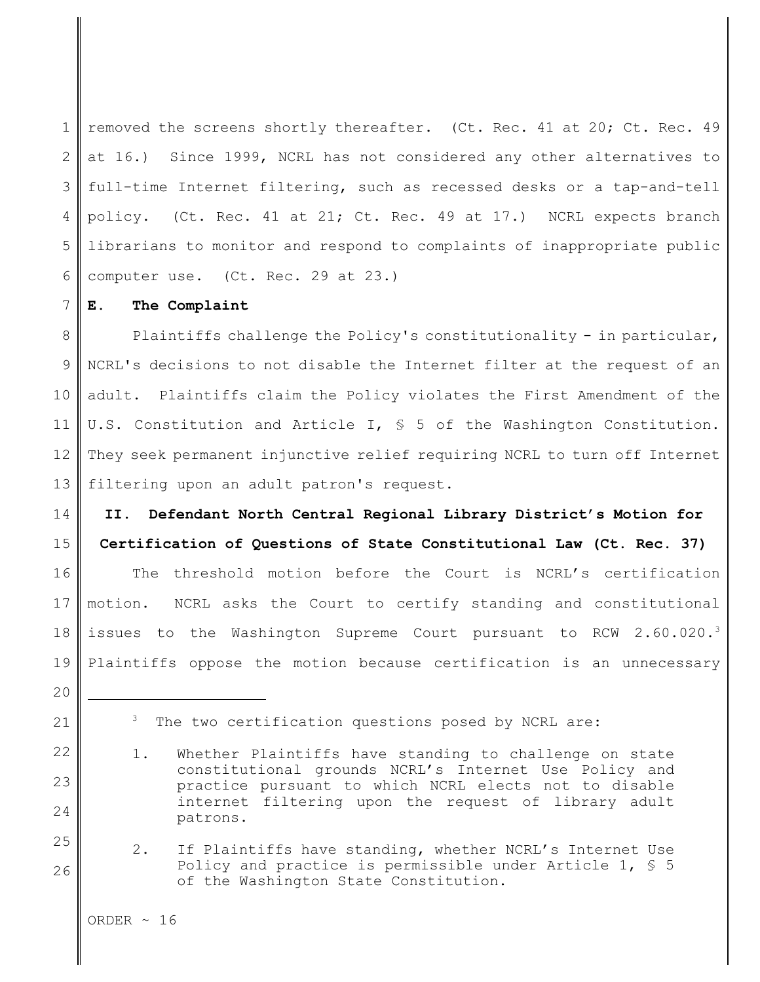1 2 3 4 5 6 removed the screens shortly thereafter. (Ct. Rec. 41 at 20; Ct. Rec. 49 at 16.) Since 1999, NCRL has not considered any other alternatives to full-time Internet filtering, such as recessed desks or a tap-and-tell policy. (Ct. Rec. 41 at 21; Ct. Rec. 49 at 17.) NCRL expects branch librarians to monitor and respond to complaints of inappropriate public computer use. (Ct. Rec. 29 at 23.)

## **E. The Complaint**

8 9 10 11 12 13 Plaintiffs challenge the Policy's constitutionality - in particular, NCRL's decisions to not disable the Internet filter at the request of an adult. Plaintiffs claim the Policy violates the First Amendment of the U.S. Constitution and Article I, § 5 of the Washington Constitution. They seek permanent injunctive relief requiring NCRL to turn off Internet filtering upon an adult patron's request.

14 15 16 17 18 19 **II. Defendant North Central Regional Library District's Motion for Certification of Questions of State Constitutional Law (Ct. Rec. 37)** The threshold motion before the Court is NCRL's certification motion. NCRL asks the Court to certify standing and constitutional issues to the Washington Supreme Court pursuant to RCW 2.60.020.<sup>3</sup> Plaintiffs oppose the motion because certification is an unnecessary

7

23

24

25

26

- 1. Whether Plaintiffs have standing to challenge on state constitutional grounds NCRL's Internet Use Policy and practice pursuant to which NCRL elects not to disable internet filtering upon the request of library adult patrons.
- 2. If Plaintiffs have standing, whether NCRL's Internet Use Policy and practice is permissible under Article  $1,$  \$ 5 of the Washington State Constitution.

<sup>20</sup>

<sup>21</sup> 22

 $3$  The two certification questions posed by NCRL are: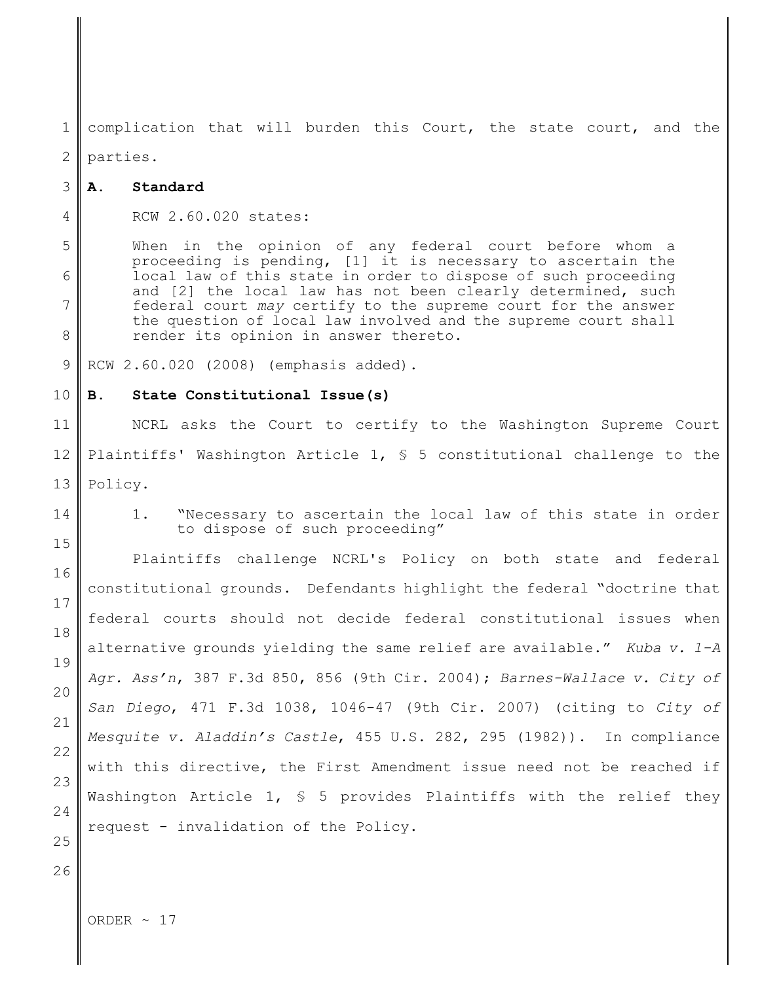1 2 complication that will burden this Court, the state court, and the parties.

#### 3 **A. Standard**

4 RCW 2.60.020 states:

When in the opinion of any federal court before whom a proceeding is pending, [1] it is necessary to ascertain the local law of this state in order to dispose of such proceeding and [2] the local law has not been clearly determined, such federal court *may* certify to the supreme court for the answer the question of local law involved and the supreme court shall render its opinion in answer thereto.

9 RCW 2.60.020 (2008) (emphasis added).

#### 10 **B. State Constitutional Issue(s)**

11 12 13 NCRL asks the Court to certify to the Washington Supreme Court Plaintiffs' Washington Article 1, § 5 constitutional challenge to the Policy.

14 15

16

17

18

19

20

21

22

23

24

25

26

5

6

7

8

1. "Necessary to ascertain the local law of this state in order to dispose of such proceeding"

Plaintiffs challenge NCRL's Policy on both state and federal constitutional grounds. Defendants highlight the federal "doctrine that federal courts should not decide federal constitutional issues when alternative grounds yielding the same relief are available." *Kuba v. 1-A Agr. Ass'n*, 387 F.3d 850, 856 (9th Cir. 2004); *Barnes-Wallace v. City of San Diego*, 471 F.3d 1038, 1046-47 (9th Cir. 2007) (citing to *City of Mesquite v. Aladdin's Castle*, 455 U.S. 282, 295 (1982)). In compliance with this directive, the First Amendment issue need not be reached if Washington Article 1, § 5 provides Plaintiffs with the relief they request - invalidation of the Policy.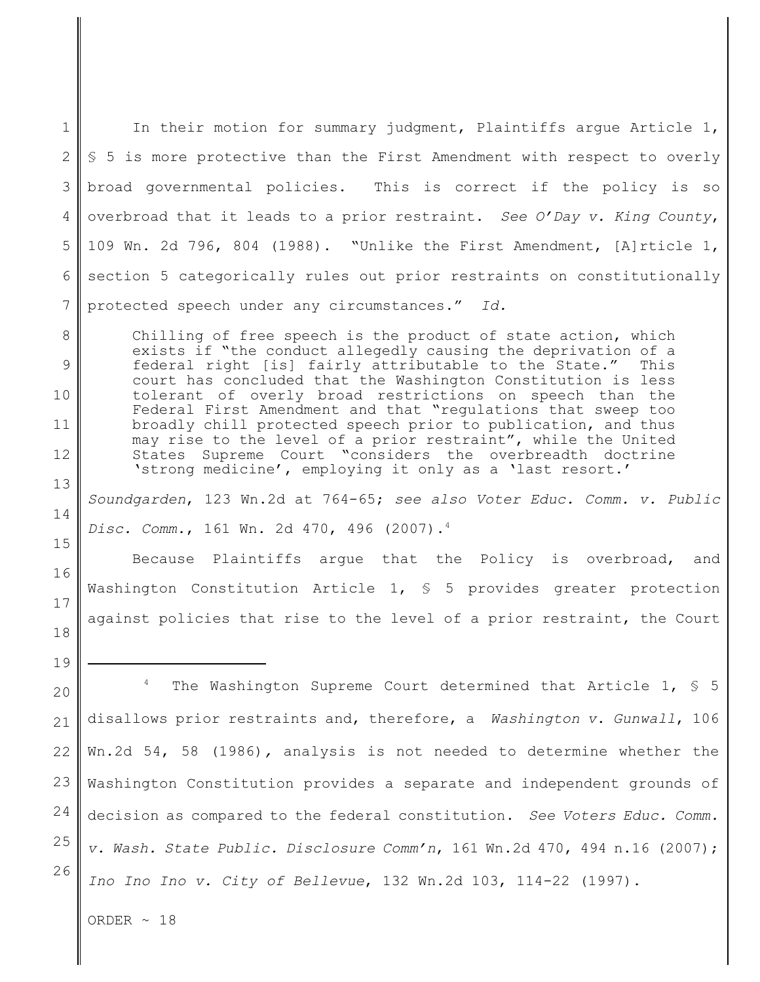1 2 3 4 5 6 7 In their motion for summary judgment, Plaintiffs argue Article 1, § 5 is more protective than the First Amendment with respect to overly broad governmental policies. This is correct if the policy is so overbroad that it leads to a prior restraint. *See O'Day v. King County*, 109 Wn. 2d 796, 804 (1988). "Unlike the First Amendment, [A]rticle 1, section 5 categorically rules out prior restraints on constitutionally protected speech under any circumstances." *Id.*

Chilling of free speech is the product of state action, which exists if "the conduct allegedly causing the deprivation of a federal right [is] fairly attributable to the State." This court has concluded that the Washington Constitution is less tolerant of overly broad restrictions on speech than the Federal First Amendment and that "regulations that sweep too broadly chill protected speech prior to publication, and thus may rise to the level of a prior restraint", while the United States Supreme Court "considers the overbreadth doctrine 'strong medicine', employing it only as a 'last resort.'

*Soundgarden*, 123 Wn.2d at 764-65; *see also Voter Educ. Comm. v. Public Disc. Comm.*, 161 Wn. 2d 470, 496 (2007).<sup>4</sup>

Because Plaintiffs argue that the Policy is overbroad, and Washington Constitution Article 1,  $\frac{1}{5}$  5 provides greater protection against policies that rise to the level of a prior restraint, the Court

20 21 22 23 24 25 26 <sup>4</sup> The Washington Supreme Court determined that Article 1,  $\frac{1}{5}$  5 disallows prior restraints and, therefore, a *Washington v. Gunwall*, 106 Wn.2d 54, 58 (1986)*,* analysis is not needed to determine whether the Washington Constitution provides a separate and independent grounds of decision as compared to the federal constitution. *See Voters Educ. Comm. v. Wash. State Public. Disclosure Comm'n*, 161 Wn.2d 470, 494 n.16 (2007); *Ino Ino Ino v. City of Bellevue*, 132 Wn.2d 103, 114-22 (1997).

ORDER  $\sim$  18

19

8

9

10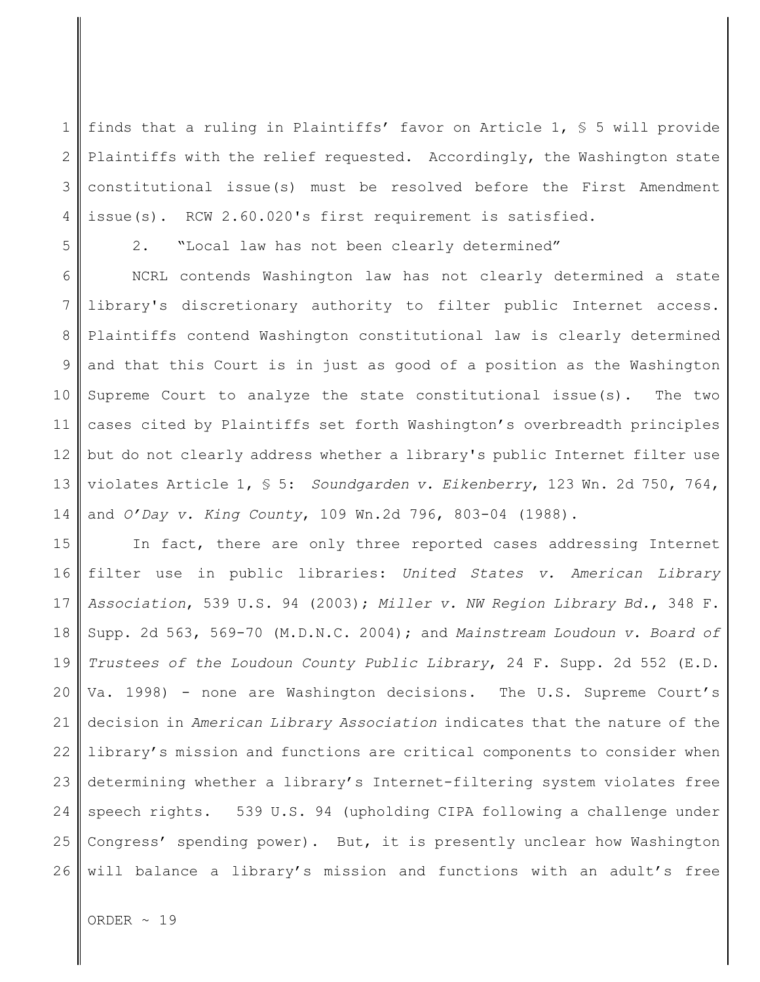1 2 3 4 finds that a ruling in Plaintiffs' favor on Article 1,  $\frac{1}{5}$  5 will provide Plaintiffs with the relief requested. Accordingly, the Washington state constitutional issue(s) must be resolved before the First Amendment issue(s). RCW 2.60.020's first requirement is satisfied.

5

2. "Local law has not been clearly determined"

6 7 8 9 10 11 12 13 14 NCRL contends Washington law has not clearly determined a state library's discretionary authority to filter public Internet access. Plaintiffs contend Washington constitutional law is clearly determined and that this Court is in just as good of a position as the Washington Supreme Court to analyze the state constitutional issue(s). The two cases cited by Plaintiffs set forth Washington's overbreadth principles but do not clearly address whether a library's public Internet filter use violates Article 1, § 5: *Soundgarden v. Eikenberry*, 123 Wn. 2d 750, 764, and *O'Day v. King County*, 109 Wn.2d 796, 803-04 (1988).

15 16 17 18 19 20 21 22 23 24 25 26 In fact, there are only three reported cases addressing Internet filter use in public libraries: *United States v. American Library Association*, 539 U.S. 94 (2003); *Miller v. NW Region Library Bd.*, 348 F. Supp. 2d 563, 569-70 (M.D.N.C. 2004); and *Mainstream Loudoun v. Board of Trustees of the Loudoun County Public Library*, 24 F. Supp. 2d 552 (E.D. Va. 1998) - none are Washington decisions. The U.S. Supreme Court's decision in *American Library Association* indicates that the nature of the library's mission and functions are critical components to consider when determining whether a library's Internet-filtering system violates free speech rights. 539 U.S. 94 (upholding CIPA following a challenge under Congress' spending power). But, it is presently unclear how Washington will balance a library's mission and functions with an adult's free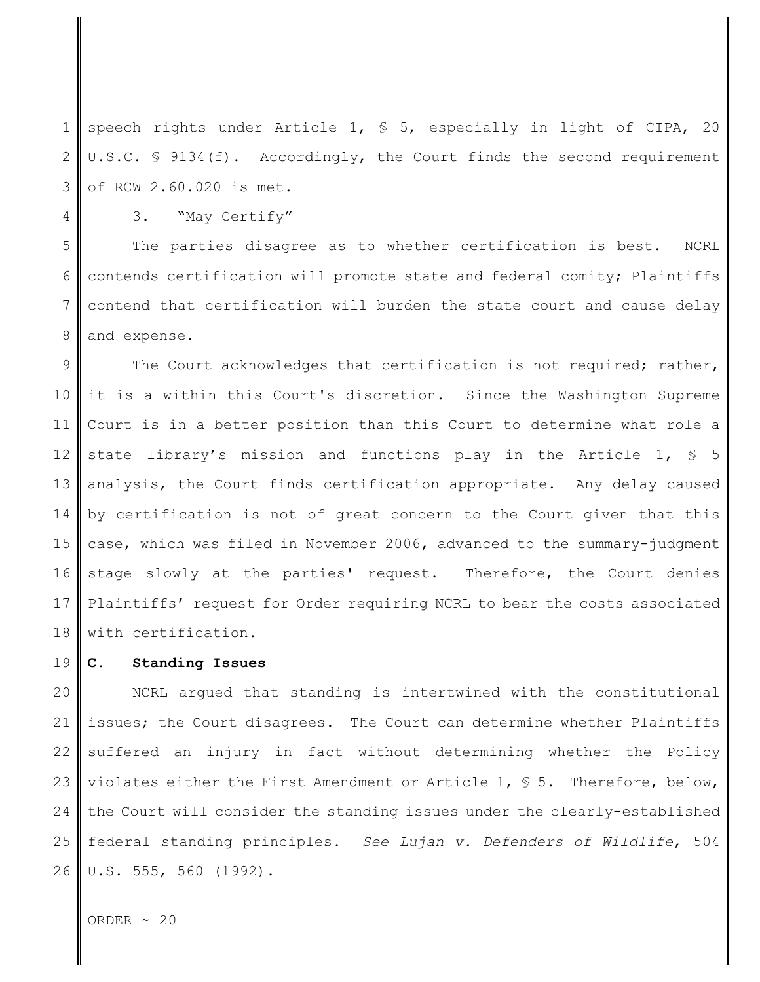1 2 3 speech rights under Article 1, § 5, especially in light of CIPA, 20 U.S.C. § 9134(f). Accordingly, the Court finds the second requirement of RCW 2.60.020 is met.

4

3. "May Certify"

5 6 7 8 The parties disagree as to whether certification is best. NCRL contends certification will promote state and federal comity; Plaintiffs contend that certification will burden the state court and cause delay and expense.

9 10 11 12 13 14 15 16 17 18 The Court acknowledges that certification is not required; rather, it is a within this Court's discretion. Since the Washington Supreme Court is in a better position than this Court to determine what role a state library's mission and functions play in the Article 1, § 5 analysis, the Court finds certification appropriate. Any delay caused by certification is not of great concern to the Court given that this case, which was filed in November 2006, advanced to the summary-judgment stage slowly at the parties' request. Therefore, the Court denies Plaintiffs' request for Order requiring NCRL to bear the costs associated with certification.

#### 19 **C. Standing Issues**

20 21 22 23 24 25 26 NCRL argued that standing is intertwined with the constitutional issues; the Court disagrees. The Court can determine whether Plaintiffs suffered an injury in fact without determining whether the Policy violates either the First Amendment or Article 1,  $\frac{1}{5}$  5. Therefore, below, the Court will consider the standing issues under the clearly-established federal standing principles. *See Lujan v. Defenders of Wildlife*, 504 U.S. 555, 560 (1992).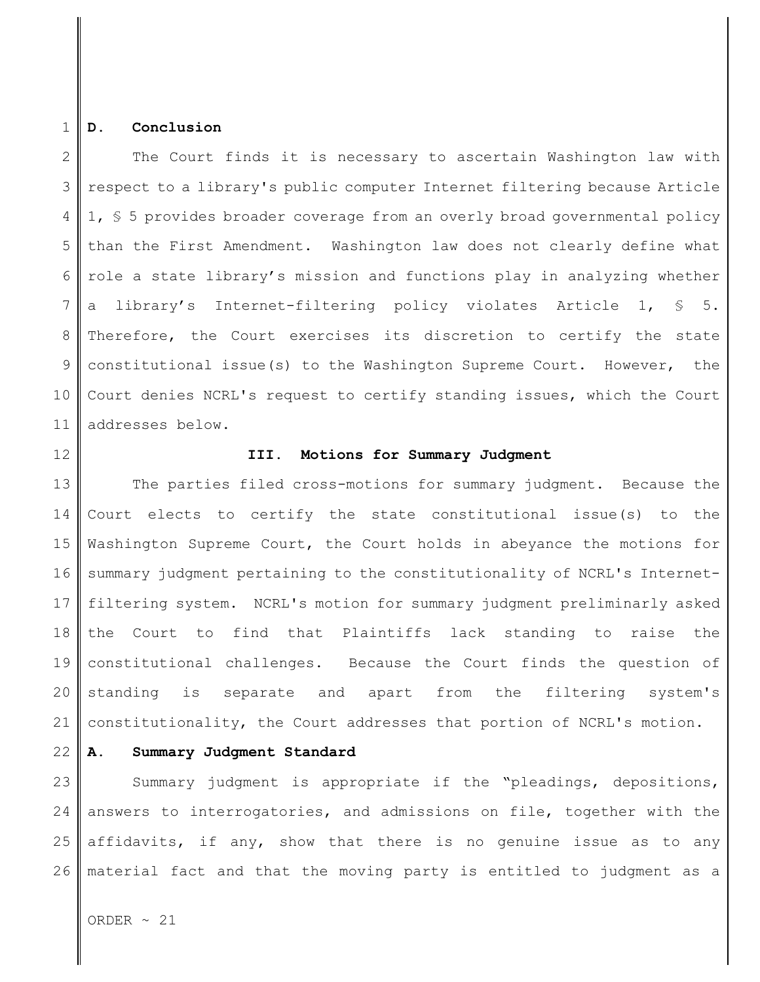#### 1 **D. Conclusion**

2 3 4 5 6 7 8 9 10 11 The Court finds it is necessary to ascertain Washington law with respect to a library's public computer Internet filtering because Article 1, § 5 provides broader coverage from an overly broad governmental policy than the First Amendment. Washington law does not clearly define what role a state library's mission and functions play in analyzing whether a library's Internet-filtering policy violates Article 1, § 5. Therefore, the Court exercises its discretion to certify the state constitutional issue(s) to the Washington Supreme Court. However, the Court denies NCRL's request to certify standing issues, which the Court addresses below.

12

#### **III. Motions for Summary Judgment**

13 14 15 16 17 18 19 20 21 The parties filed cross-motions for summary judgment. Because the Court elects to certify the state constitutional issue(s) to the Washington Supreme Court, the Court holds in abeyance the motions for summary judgment pertaining to the constitutionality of NCRL's Internetfiltering system. NCRL's motion for summary judgment preliminarly asked the Court to find that Plaintiffs lack standing to raise the constitutional challenges. Because the Court finds the question of standing is separate and apart from the filtering system's constitutionality, the Court addresses that portion of NCRL's motion.

22 **A. Summary Judgment Standard**

23 24 25 26 Summary judgment is appropriate if the "pleadings, depositions, answers to interrogatories, and admissions on file, together with the affidavits, if any, show that there is no genuine issue as to any material fact and that the moving party is entitled to judgment as a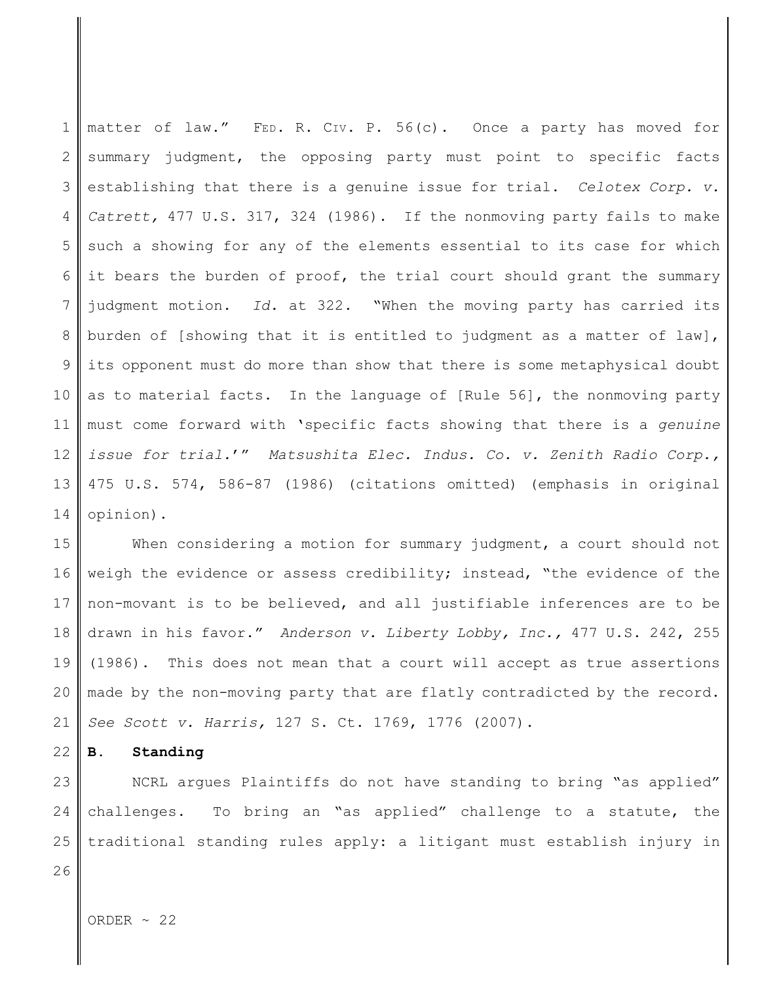1 2 3 4 5 6 7 8 9 10 11 12 13 14 matter of law." FED. R. CIV. P. 56(c). Once a party has moved for summary judgment, the opposing party must point to specific facts establishing that there is a genuine issue for trial. *Celotex Corp. v. Catrett,* 477 U.S. 317, 324 (1986). If the nonmoving party fails to make such a showing for any of the elements essential to its case for which it bears the burden of proof, the trial court should grant the summary judgment motion. *Id.* at 322. "When the moving party has carried its burden of [showing that it is entitled to judgment as a matter of law], its opponent must do more than show that there is some metaphysical doubt as to material facts. In the language of [Rule 56], the nonmoving party must come forward with 'specific facts showing that there is a *genuine issue for trial.*'" *Matsushita Elec. Indus. Co. v. Zenith Radio Corp.,* 475 U.S. 574, 586-87 (1986) (citations omitted) (emphasis in original opinion).

15 16 17 18 19 20 21 When considering a motion for summary judgment, a court should not weigh the evidence or assess credibility; instead, "the evidence of the non-movant is to be believed, and all justifiable inferences are to be drawn in his favor." *Anderson v. Liberty Lobby, Inc.,* 477 U.S. 242, 255 (1986). This does not mean that a court will accept as true assertions made by the non-moving party that are flatly contradicted by the record. *See Scott v. Harris,* 127 S. Ct. 1769, 1776 (2007).

22 **B. Standing**

23 24 25 NCRL argues Plaintiffs do not have standing to bring "as applied" challenges. To bring an "as applied" challenge to a statute, the traditional standing rules apply: a litigant must establish injury in

26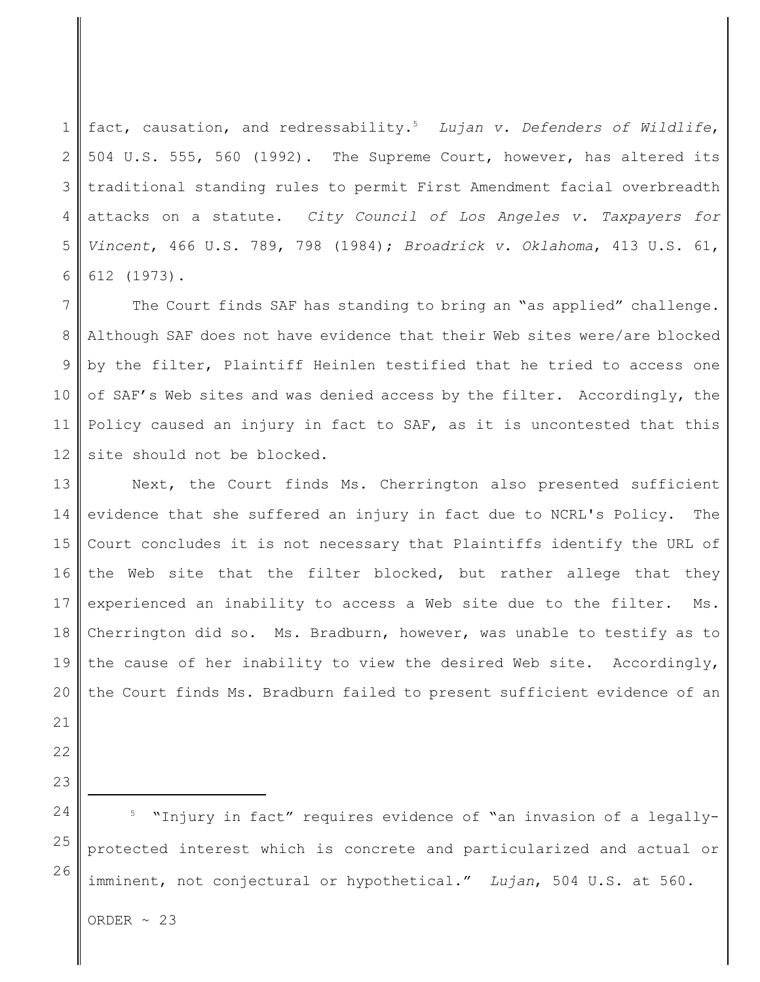1 2 3 4 5 6 fact, causation, and redressability.<sup>5</sup> Lujan v. Defenders of Wildlife, 504 U.S. 555, 560 (1992). The Supreme Court, however, has altered its traditional standing rules to permit First Amendment facial overbreadth attacks on a statute. *City Council of Los Angeles v. Taxpayers for Vincent*, 466 U.S. 789, 798 (1984); *Broadrick v. Oklahoma*, 413 U.S. 61, 612 (1973).

7 8 9 10 11 12 The Court finds SAF has standing to bring an "as applied" challenge. Although SAF does not have evidence that their Web sites were/are blocked by the filter, Plaintiff Heinlen testified that he tried to access one of SAF's Web sites and was denied access by the filter. Accordingly, the Policy caused an injury in fact to SAF, as it is uncontested that this site should not be blocked.

13 14 15 16 17 18 19 20 Next, the Court finds Ms. Cherrington also presented sufficient evidence that she suffered an injury in fact due to NCRL's Policy. The Court concludes it is not necessary that Plaintiffs identify the URL of the Web site that the filter blocked, but rather allege that they experienced an inability to access a Web site due to the filter. Ms. Cherrington did so. Ms. Bradburn, however, was unable to testify as to the cause of her inability to view the desired Web site. Accordingly, the Court finds Ms. Bradburn failed to present sufficient evidence of an

25

26

"Injury in fact" requires evidence of "an invasion of a legallyprotected interest which is concrete and particularized and actual or imminent, not conjectural or hypothetical." *Lujan*, 504 U.S. at 560.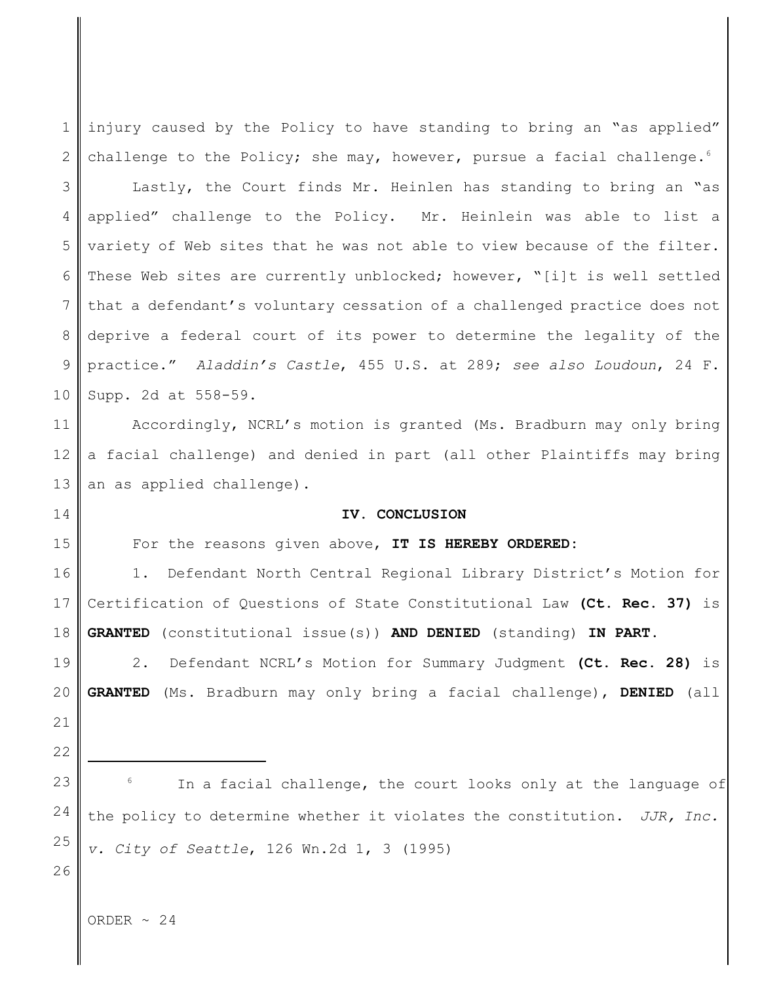1 2 injury caused by the Policy to have standing to bring an "as applied" challenge to the Policy; she may, however, pursue a facial challenge. $6$ 

3 4 5 6 7 8 9 10 Lastly, the Court finds Mr. Heinlen has standing to bring an "as applied" challenge to the Policy. Mr. Heinlein was able to list a variety of Web sites that he was not able to view because of the filter. These Web sites are currently unblocked; however, "[i]t is well settled that a defendant's voluntary cessation of a challenged practice does not deprive a federal court of its power to determine the legality of the practice." *Aladdin's Castle*, 455 U.S. at 289; *see also Loudoun*, 24 F. Supp. 2d at 558-59.

11 12 13 Accordingly, NCRL's motion is granted (Ms. Bradburn may only bring a facial challenge) and denied in part (all other Plaintiffs may bring an as applied challenge).

#### **IV. CONCLUSION**

For the reasons given above, **IT IS HEREBY ORDERED:**

16 17 18 1. Defendant North Central Regional Library District's Motion for Certification of Questions of State Constitutional Law **(Ct. Rec. 37)** is **GRANTED** (constitutional issue(s)) **AND DENIED** (standing) **IN PART**.

2. Defendant NCRL's Motion for Summary Judgment **(Ct. Rec. 28)** is **GRANTED** (Ms. Bradburn may only bring a facial challenge), **DENIED** (all

21 22

19

20

14

15

23

24

25

In a facial challenge, the court looks only at the language of the policy to determine whether it violates the constitution. *JJR, Inc. v. City of Seattle*, 126 Wn.2d 1, 3 (1995)

26